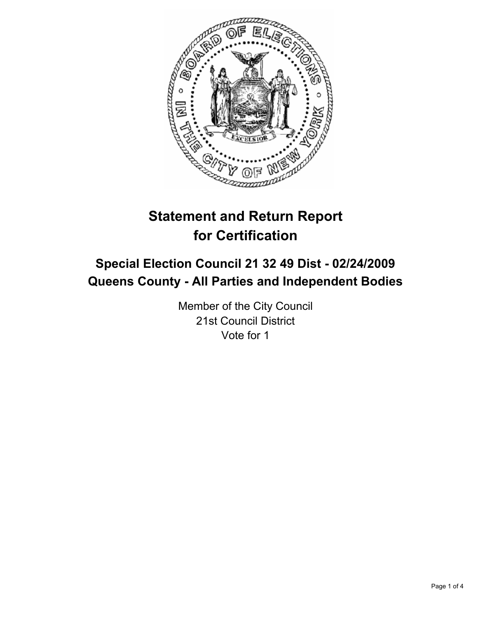

# **Statement and Return Report for Certification**

# **Special Election Council 21 32 49 Dist - 02/24/2009 Queens County - All Parties and Independent Bodies**

Member of the City Council 21st Council District Vote for 1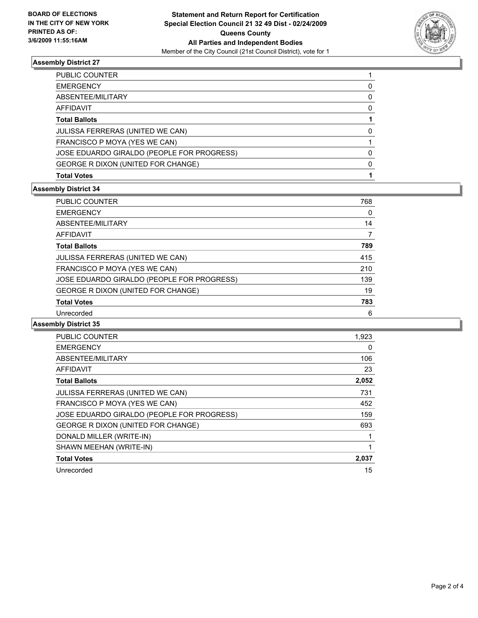

## **Assembly District 27**

| PUBLIC COUNTER                             |  |
|--------------------------------------------|--|
| <b>EMERGENCY</b>                           |  |
| ABSENTEE/MILITARY                          |  |
| AFFIDAVIT                                  |  |
| <b>Total Ballots</b>                       |  |
| <b>JULISSA FERRERAS (UNITED WE CAN)</b>    |  |
| FRANCISCO P MOYA (YES WE CAN)              |  |
| JOSE EDUARDO GIRALDO (PEOPLE FOR PROGRESS) |  |
| GEORGE R DIXON (UNITED FOR CHANGE)         |  |
| <b>Total Votes</b>                         |  |

#### **Assembly District 34**

| <b>PUBLIC COUNTER</b>                      | 768 |
|--------------------------------------------|-----|
| <b>EMERGENCY</b>                           |     |
| ABSENTEE/MILITARY                          | 14  |
| AFFIDAVIT                                  |     |
| <b>Total Ballots</b>                       | 789 |
| JULISSA FERRERAS (UNITED WE CAN)           | 415 |
| FRANCISCO P MOYA (YES WE CAN)              | 210 |
| JOSE EDUARDO GIRALDO (PEOPLE FOR PROGRESS) | 139 |
| GEORGE R DIXON (UNITED FOR CHANGE)         | 19  |
| <b>Total Votes</b>                         | 783 |
| Unrecorded                                 | 6   |

#### **Assembly District 35**

| <b>PUBLIC COUNTER</b>                      | 1,923 |
|--------------------------------------------|-------|
| <b>EMERGENCY</b>                           | 0     |
| ABSENTEE/MILITARY                          | 106   |
| <b>AFFIDAVIT</b>                           | 23    |
| <b>Total Ballots</b>                       | 2,052 |
| <b>JULISSA FERRERAS (UNITED WE CAN)</b>    | 731   |
| FRANCISCO P MOYA (YES WE CAN)              | 452   |
| JOSE EDUARDO GIRALDO (PEOPLE FOR PROGRESS) | 159   |
| <b>GEORGE R DIXON (UNITED FOR CHANGE)</b>  | 693   |
| DONALD MILLER (WRITE-IN)                   |       |
| SHAWN MEEHAN (WRITE-IN)                    |       |
| <b>Total Votes</b>                         | 2,037 |
| Unrecorded                                 | 15    |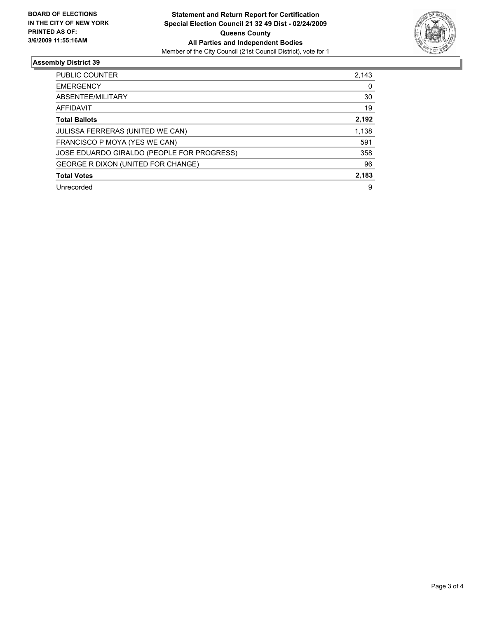

## **Assembly District 39**

| <b>PUBLIC COUNTER</b>                      | 2,143 |
|--------------------------------------------|-------|
| <b>EMERGENCY</b>                           |       |
| ABSENTEE/MILITARY                          | 30    |
| AFFIDAVIT                                  | 19    |
| <b>Total Ballots</b>                       | 2,192 |
| JULISSA FERRERAS (UNITED WE CAN)           | 1,138 |
| FRANCISCO P MOYA (YES WE CAN)              | 591   |
| JOSE EDUARDO GIRALDO (PEOPLE FOR PROGRESS) | 358   |
| GEORGE R DIXON (UNITED FOR CHANGE)         | 96    |
| <b>Total Votes</b>                         | 2,183 |
| Unrecorded                                 | 9     |